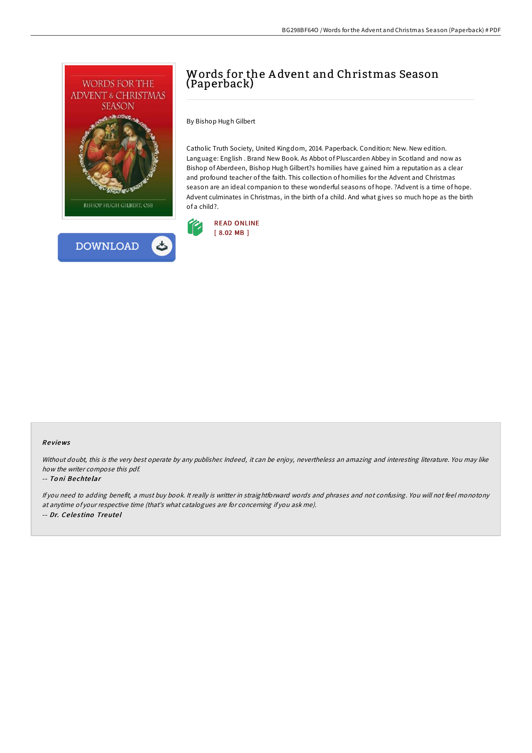



# Words for the A dvent and Christmas Season (Paperback)

By Bishop Hugh Gilbert

Catholic Truth Society, United Kingdom, 2014. Paperback. Condition: New. New edition. Language: English . Brand New Book. As Abbot of Pluscarden Abbey in Scotland and now as Bishop of Aberdeen, Bishop Hugh Gilbert?s homilies have gained him a reputation as a clear and profound teacher of the faith. This collection of homilies for the Advent and Christmas season are an ideal companion to these wonderful seasons of hope. ?Advent is a time of hope. Advent culminates in Christmas, in the birth of a child. And what gives so much hope as the birth of a child?.



### Re views

Without doubt, this is the very best operate by any publisher. Indeed, it can be enjoy, nevertheless an amazing and interesting literature. You may like how the writer compose this pdf.

#### -- To ni Be chte lar

If you need to adding benefit, <sup>a</sup> must buy book. It really is writter in straightforward words and phrases and not confusing. You will not feel monotony at anytime of your respective time (that's what catalogues are for concerning if you ask me). -- Dr. Ce le s tino Treute l